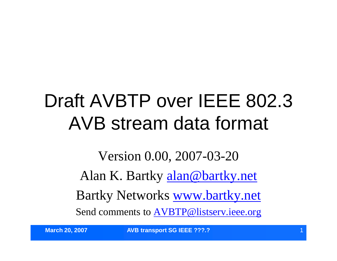#### Draft AVBTP over IEEE 802.3 AVB stream data format

Version 0.00, 2007-03-20 Alan K. Bartky alan@bartky.net Bartky Networks www.bartky.net Send comments to AVBTP@listserv.ieee.org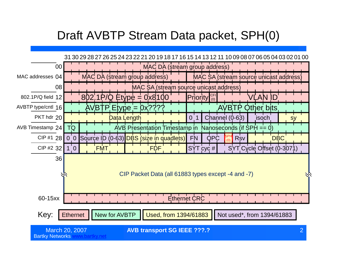#### Draft AVBTP Stream Data packet, SPH(0)

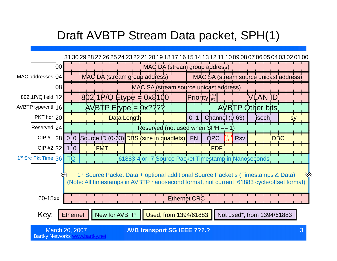#### Draft AVBTP Stream Data packet, SPH(1)

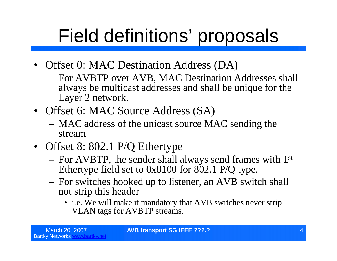- Offset 0: MAC Destination Address (DA)
	- For AVBTP over AVB, MAC Destination Addresses shall always be multicast addresses and shall be unique for the Layer 2 network.
- Offset 6: MAC Source Address (SA)
	- MAC address of the unicast source MAC sending the stream
- Offset 8: 802.1 P/Q Ethertype
	- For AVBTP, the sender shall always send frames with 1st Ethertype field set to 0x8100 for 802.1 P/Q type.
	- For switches hooked up to listener, an AVB switch shall not strip this header
		- i.e. We will make it mandatory that AVB switches never strip VLAN tags for AVBTP streams.

**March 20, 2007 AVB transport SG IEEE ???.?**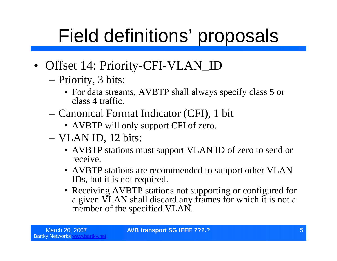- Offset 14: Priority-CFI-VLAN\_ID
	- –Priority, 3 bits:
		- For data streams, AVBTP shall always specify class 5 or class 4 traffic.
	- –Canonical Format Indicator (CFI), 1 bit
		- AVBTP will only support CFI of zero.
	- –VLAN ID, 12 bits:
		- AVBTP stations must support VLAN ID of zero to send or receive.
		- AVBTP stations are recommended to support other VLAN IDs, but it is not required.
		- Receiving AVBTP stations not supporting or configured for a given VLAN shall discard any frames for which it is not a member of the specified VLAN.

March 20, 2007 **AVB transport SG IEEE ???.?** 5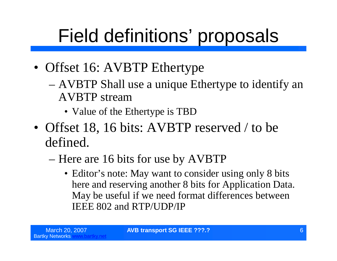- Offset 16: AVBTP Ethertype
	- –AVBTP Shall use a unique Ethertype to identify an AVBTP stream
		- Value of the Ethertype is TBD
- Offset 18, 16 bits: AVBTP reserved / to be defined.
	- –Here are 16 bits for use by AVBTP
		- Editor's note: May want to consider using only 8 bits here and reserving another 8 bits for Application Data. May be useful if we need format differences between IEEE 802 and RTP/UDP/IP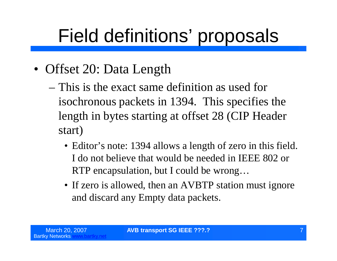- Offset 20: Data Length
	- –This is the exact same definition as used for isochronous packets in 1394. This specifies the length in bytes starting at offset 28 (CIP Header start)
		- Editor's note: 1394 allows a length of zero in this field. I do not believe that would be needed in IEEE 802 or RTP encapsulation, but I could be wrong…
		- If zero is allowed, then an AVBTP station must ignore and discard any Empty data packets.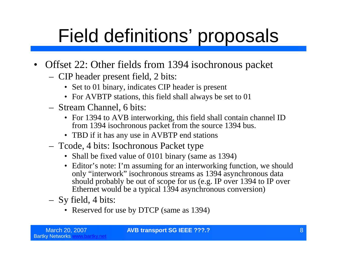- Offset 22: Other fields from 1394 isochronous packet
	- CIP header present field, 2 bits:
		- Set to 01 binary, indicates CIP header is present
		- For AVBTP stations, this field shall always be set to 01
	- Stream Channel, 6 bits:
		- For 1394 to AVB interworking, this field shall contain channel ID from 1394 isochronous packet from the source 1394 bus.
		- TBD if it has any use in AVBTP end stations
	- Tcode, 4 bits: Isochronous Packet type
		- Shall be fixed value of 0101 binary (same as 1394)
		- Editor's note: I'm assuming for an interworking function, we should only "interwork"isochronous streams as 1394 asynchronous data should probably be out of scope for us (e.g. IP over 1394 to IP over Ethernet would be a typical 1394 asynchronous conversion)
	- Sy field, 4 bits:
		- Reserved for use by DTCP (same as 1394)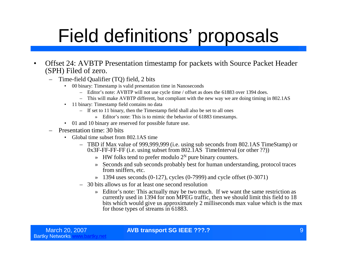- Offset 24: AVBTP Presentation timestamp for packets with Source Packet Header (SPH) Filed of zero.
	- Time-field Qualifier (TQ) field, 2 bits
		- 00 binary: Timestamp is valid presentation time in Nanoseconds
			- Editor's note: AVBTP will not use cycle time / offset as does the 61883 over 1394 does.
			- This will make AVBTP different, but compliant with the new way we are doing timing in 802.1AS
		- 11 binary: Timestamp field contains no data
			- If set to 11 binary, then the Timestamp field shall also be set to all ones
				- » Editor's note: This is to mimic the behavior of 61883 timestamps.
		- 01 and 10 binary are reserved for possible future use.
	- Presentation time: 30 bits
		- Global time subset from 802.1AS time
			- TBD if Max value of 999,999,999 (i.e. using sub seconds from 802.1AS TimeStamp) or 0x3F-FF-FF-FF (i.e. using subset from 802.1AS TimeInterval (or other ??))
				- $\gg$  HW folks tend to prefer modulo 2<sup>N</sup> pure binary counters.
				- » Seconds and sub seconds probably best for human understanding, protocol traces from sniffers, etc.
				- $\rightarrow$  1394 uses seconds (0-127), cycles (0-7999) and cycle offset (0-3071)
			- 30 bits allows us for at least one second resolution
				- » Editor's note: This actually may be two much. If we want the same restriction as currently used in 1394 for non MPEG traffic, then we should limit this field to 18 bits which would give us approximately 2 milliseconds max value which is the max for those types of streams in 61883.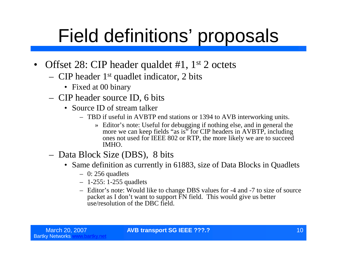- Offset 28: CIP header qualdet #1, 1<sup>st</sup> 2 octets
	- CIP header 1st quadlet indicator, 2 bits
		- Fixed at 00 binary
	- CIP header source ID, 6 bits
		- Source ID of stream talker
			- TBD if useful in AVBTP end stations or 1394 to AVB interworking units.
				- » Editor's note: Useful for debugging if nothing else, and in general the more we can keep fields "as is" for CIP headers in AVBTP, including ones not used for IEEE 802 or RTP, the more likely we are to succeed IMHO.
	- Data Block Size (DBS), 8 bits
		- Same definition as currently in 61883, size of Data Blocks in Quadlets
			- $-$  0: 256 quadlets
			- 1-255: 1-255 quadlets
			- Editor's note: Would like to change DBS values for -4 and -7 to size of source packet as I don't want to support FN field. This would give us better use/resolution of the DBC field.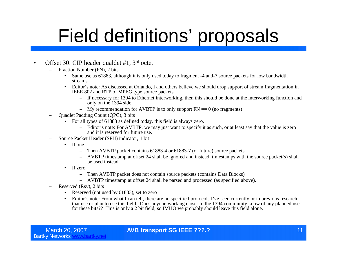#### • Offset 30: CIP header qualdet #1, 3<sup>rd</sup> octet

- Fraction Number (FN), 2 bits
	- Same use as 61883, although it is only used today to fragment -4 and-7 source packets for low bandwidth streams.
	- Editor's note: As discussed at Orlando, I and others believe we should drop support of stream fragmentation in IEEE 802 and RTP of MPEG type source packets.
		- If necessary for 1394 to Ethernet interworking, then this should be done at the interworking function and only on the 1394 side.
		- My recommendation for AVBTP is to only support  $FN = 0$  (no fragments)
- Quadlet Padding Count (QPC), 3 bits
	- For all types of 61883 as defined today, this field is always zero.
		- Editor's note: For AVBTP, we may just want to specify it as such, or at least say that the value is zero and it is reserved for future use.
- Source Packet Header (SPH) indicator, 1 bit
	- If one
		- Then AVBTP packet contains 61883-4 or 61883-7 (or future) source packets.
		- AVBTP timestamp at offset 24 shall be ignored and instead, timestamps with the source packet(s) shall be used instead.
	- If zero
		- Then AVBTP packet does not contain source packets (contains Data Blocks)
		- AVBTP timestamp at offset 24 shall be parsed and processed (as specified above).
- Reserved (Rsv), 2 bits
	- Reserved (not used by 61883), set to zero
	- Editor's note: From what I can tell, there are no specified protocols I've seen currently or in previous research that use or plan to use this field. Does anyone working closer to the 1394 community know of any planned use for these bits?? This is only a 2 bit field, so IMHO we probably should leave this field alone.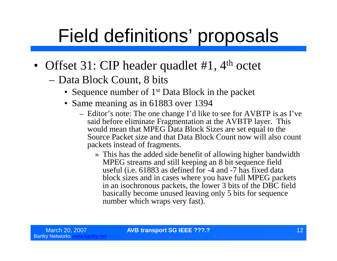- Offset 31: CIP header quadlet #1, 4<sup>th</sup> octet
	- –Data Block Count, 8 bits
		- Sequence number of 1<sup>st</sup> Data Block in the packet
		- Same meaning as in 61883 over 1394
			- Editor's note: The one change I'd like to see for AVBTP is as I've said before eliminate Fragmentation at the AVBTP layer. This would mean that MPEG Data Block Sizes are set equal to the Source Packet size and that Data Block Count now will also count packets instead of fragments.
				- » This has the added side benefit of allowing higher bandwidth MPEG streams and still keeping an 8 bit sequence field useful (i.e. 61883 as defined for -4 and -7 has fixed data block sizes and in cases where you have full MPEG packets in an isochronous packets, the lower 3 bits of the DBC field basically become unused leaving only 5 bits for sequence number which wraps very fast).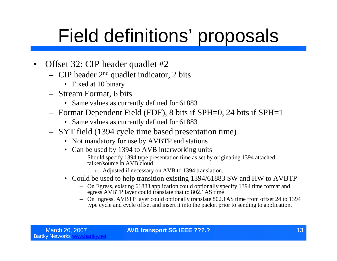- Offset 32: CIP header quadlet #2
	- CIP header  $2<sup>nd</sup>$  quadlet indicator, 2 bits
		- Fixed at 10 binary
	- Stream Format, 6 bits
		- Same values as currently defined for 61883
	- Format Dependent Field (FDF), 8 bits if SPH=0, 24 bits if SPH=1
		- Same values as currently defined for 61883
	- SYT field (1394 cycle time based presentation time)
		- Not mandatory for use by AVBTP end stations
		- Can be used by 1394 to AVB interworking units
			- Should specify 1394 type presentation time as set by originating 1394 attached talker/source in AVB cloud
				- » Adjusted if necessary on AVB to 1394 translation.
		- Could be used to help transition existing 1394/61883 SW and HW to AVBTP
			- On Egress, existing 61883 application could optionally specify 1394 time format and egress AVBTP layer could translate that to 802.1AS time
			- On Ingress, AVBTP layer could optionally translate 802.1AS time from offset 24 to 1394 type cycle and cycle offset and insert it into the packet prior to sending to application.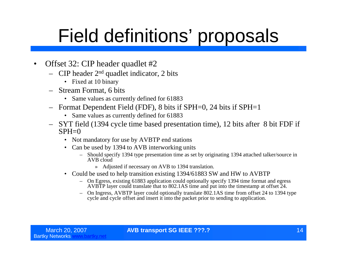- Offset 32: CIP header quadlet #2
	- $-$  CIP header  $2<sup>nd</sup>$  quadlet indicator, 2 bits
		- Fixed at 10 binary
	- Stream Format, 6 bits
		- Same values as currently defined for 61883
	- Format Dependent Field (FDF), 8 bits if SPH=0, 24 bits if SPH=1
		- Same values as currently defined for 61883
	- SYT field (1394 cycle time based presentation time), 12 bits after 8 bit FDF if  $SPH=0$ 
		- Not mandatory for use by AVBTP end stations
		- Can be used by 1394 to AVB interworking units
			- Should specify 1394 type presentation time as set by originating 1394 attached talker/source in AVB cloud
				- » Adjusted if necessary on AVB to 1394 translation.
		- Could be used to help transition existing 1394/61883 SW and HW to AVBTP
			- On Egress, existing 61883 application could optionally specify 1394 time format and egress AVBTP layer could translate that to 802.1AS time and put into the timestamp at offset 24.
			- On Ingress, AVBTP layer could optionally translate 802.1AS time from offset 24 to 1394 type cycle and cycle offset and insert it into the packet prior to sending to application.